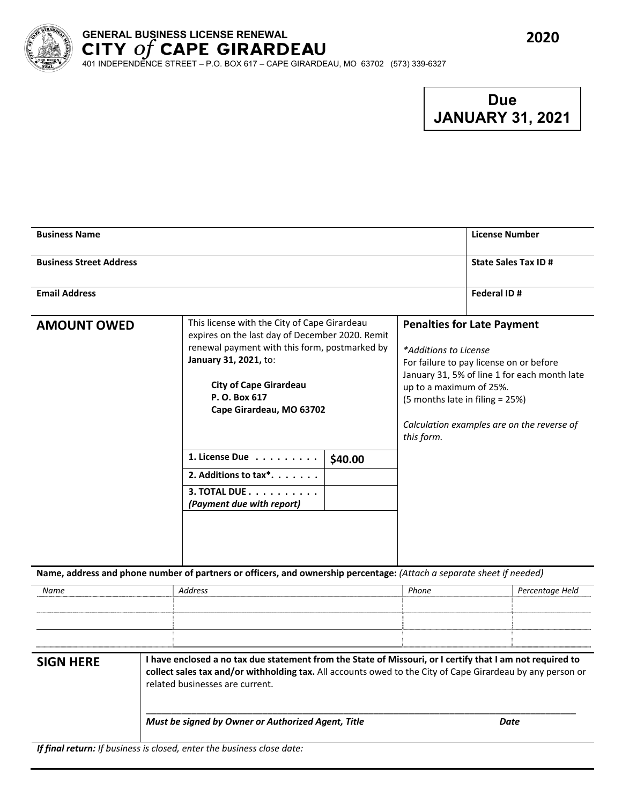

# **GENERAL BUSINESS LICENSE RENEWAL**

401 INDEPENDENCE STREET – P.O. BOX 617 – CAPE GIRARDEAU, MO 63702 (573) 339-6327

# **Due JANUARY 31, 2021**

| <b>Business Name</b>           |                                                                                                                                                                                                                                                                                                                                                            |                                                                                                                                                                                                                                                                                 | <b>License Number</b>      |
|--------------------------------|------------------------------------------------------------------------------------------------------------------------------------------------------------------------------------------------------------------------------------------------------------------------------------------------------------------------------------------------------------|---------------------------------------------------------------------------------------------------------------------------------------------------------------------------------------------------------------------------------------------------------------------------------|----------------------------|
| <b>Business Street Address</b> |                                                                                                                                                                                                                                                                                                                                                            |                                                                                                                                                                                                                                                                                 | <b>State Sales Tax ID#</b> |
| <b>Email Address</b>           |                                                                                                                                                                                                                                                                                                                                                            |                                                                                                                                                                                                                                                                                 | Federal ID#                |
| <b>AMOUNT OWED</b>             | This license with the City of Cape Girardeau<br>expires on the last day of December 2020. Remit<br>renewal payment with this form, postmarked by<br>January 31, 2021, to:<br><b>City of Cape Girardeau</b><br>P. O. Box 617<br>Cape Girardeau, MO 63702<br>1. License Due<br>\$40.00<br>2. Additions to tax*.<br>3. TOTAL DUE<br>(Payment due with report) | <b>Penalties for Late Payment</b><br>*Additions to License<br>For failure to pay license on or before<br>January 31, 5% of line 1 for each month late<br>up to a maximum of 25%.<br>(5 months late in filing = 25%)<br>Calculation examples are on the reverse of<br>this form. |                            |
|                                | Name, address and phone number of partners or officers, and ownership percentage: (Attach a separate sheet if needed)                                                                                                                                                                                                                                      |                                                                                                                                                                                                                                                                                 |                            |
| Name                           | <b>Address</b>                                                                                                                                                                                                                                                                                                                                             | Phone                                                                                                                                                                                                                                                                           | Percentage Held            |
| <b>SIGN HERE</b>               | I have enclosed a no tax due statement from the State of Missouri, or I certify that I am not required to<br>collect sales tax and/or withholding tax. All accounts owed to the City of Cape Girardeau by any person or                                                                                                                                    |                                                                                                                                                                                                                                                                                 |                            |

related businesses are current.

\_\_\_\_\_\_\_\_\_\_\_\_\_\_\_\_\_\_\_\_\_\_\_\_\_\_\_\_\_\_\_\_\_\_\_\_\_\_\_\_\_\_\_\_\_\_\_\_\_\_\_\_\_\_\_\_\_\_\_\_\_\_\_\_\_\_\_\_\_\_\_\_\_\_\_\_\_\_\_\_\_\_\_\_\_

*Must be signed by Owner or Authorized Agent, Title Date*

*If final return: If business is closed, enter the business close date:*